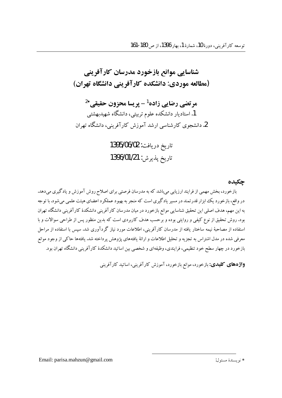شناسایی موانع بازخورد مدرسان کارآفرینی (مطالعه موردي: دانشكده كارآفريني دانشگاه تهران)

مرتضي رضايي زاده<sup>1</sup> - پريسا محزون حقيقي<sup>24</sup> 1. استادیار دانشکده علوم تربیتی، دانشگاه شهیدبهشتی 2. دانشجوی کارشناسی ارشد آموزش کارآفرینی، دانشگاه تهران

> تاريخ دريافت: 1395/06/02 تاريخ پذيرش: 1396/01/21

> > جكىدە

بازخورد، بخش مهمی از فرایند ارزیابی می باشد که به مدرسان فرصتی برای اصلاح روش آموزش و یادگیری می دهد. در واقع، بازخورد یک ابزار قدرتمند در مسیر یادگیری است که منجر به بهبود عملکرد اعضای هیئت علمی می شود.با توجه به این مهم، هدف اصلی این تحقیق شناسایی موانع بازخورد در میان مدرسان کارآفرینی دانشکدهٔ کارآفرینی دانشگاه تهران بود. روش تحقیق از نوع کیفی و روایتی بوده و برحسب هدف کاربردی است که بدین منظور پس از طراحی سوالات و با استفاده از مصاحبهٔ نیمه ساختار یافته از مدرسان کارآفرینی، اطلاعات مورد نیاز گردآوری شد. سپس با استفاده از مراحل معرفي شده در مدل اشتراس به تجزيه و تحليل اطلاعات و ارائهٔ يافتههاي پژوهش پرداخته شد. يافتهها حاكي از وجود موانع .<br>بازخورد در چهار سطح خود تنظیمی، فرایندی، وظیفهای و شخصی بین اساتید دانشکدهٔ کارآفرینی دانشگاه تهران بود.

**واژههای کلیدی:** بازخورد، موانع بازخورد، آموزش کارآفرینی، اساتید کارآفرینی

Email: parisa.mahzun@gmail.com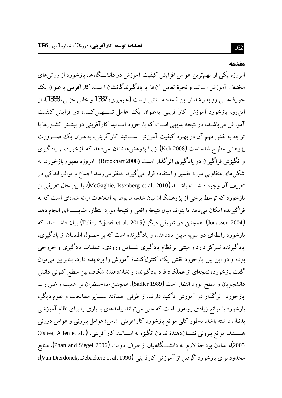#### مقدمه

امروزه یکی از مهم ترین عوامل افزایش کیفیت آموزش در دانشـــگاهها، بازخورد از روش های مختلف آموزش ا ساتید و نحوهٔ تعامل آنها با یادگیرندگانشان ا ست. کارآفرینی بهعنوان یک حوزهٔ علمی رو به ر شد از این قاعده مستثنی نیست (علیمیری، 1387 و خانی جزنی، 1388). از این رو، بازخورد آموزش کارآفرینی بهعنوان یک عامل تسهیل کننده در افزایش کیفیت آموزش می باشــد، در نتیجه بدیهی اسـت که بازخورد اســاتید کارآفرینی در بیشــتر کشــورها با توجه به نقش مهم آن در بهبود کیفیت آموزش اسساتید کارآفرینی، بهعنوان یک ضسرورت یژوهشی مطرح شده است (Koh 2008). زیرا یژوهش ها نشان می دهد که بازخورد، بر یادگیری و انگیزش فراگیران در یادگیری اثرگذار است (Brookhart 2008). امروزه مفهوم بازخورد، به شکل های متفاوتی مورد تفسیر و استفاده قرار می گیرد. بهنظر می رسد اجماع و توافق اندکی در تعريف آن وجود داشــــته باشــــد (McGaghie, Issenberg et al. 2010). با اين حال تعريفي از بازخورد که توسط برخی از یژوهشگران بیان شده، مربوط به اطلاعات ارائه شدهای است که به فراگیرِ نده امکان می دهد تا بتواند میان نتیجهٔ واقعی و نتیجهٔ مورد انتظار، مقایســـهای انجام دهد (Jonassen 2004). همچنین در تعریفی دیگر (Telio, Ajjawi et al. 2015) بیان داشــــتند که بازخورد رابطهای دو سویه مابین یاددهنده و یادگیرنده است که بر حصول اطمینان از یادگیری، یادگیرنده تمرکز دارد و مبتنی بر نظام یادگیری شـــامل ورودی، عملیات یادگیری و خروجی بوده و در این بین بازخورد نقش یک کنترلکنندهٔ آموزش را برعهده دارد. بنابراین میتوان گفت بازخورد، نتیجهای از عملکرد فرد یادگیرنده و نشاندهندهٔ شکاف بین سطح کنونی دانش دانشجویان و سطح مورد انتظار است (Sadler 1989). همچنین صاحبنظران بر اهمیت و ضرورت بازخورد اثر گذار در آموزش تأكيد دارند. از طرفي همانند ســـاير مطالعات و علوم ديگر، بازخورد با موانع زیادی روبهرو است که حتبی می تواند پیامدهای بسیاری را برای نظام آموزشی بدنبال داشته باشد. بهطور کلبی موانع بازخورد کارآفرینبی شامل؛ عوامل بیرونبی و عوامل درونبی هســـتند. موانع بيروني نشـــاندهندهٔ ندادن انگيزه به اســـاتيد كارآفريني، O'shea, Allen et al.) 2005)، ندادن بودجهٔ لازم به دانشـــگاهیان از طرف دولت (Phan and Siegel 2006)، منابع محدود برای بازخورد گرفتن از آموزش کارفرینی (Van Dierdonck, Debackere et al. 1990**).**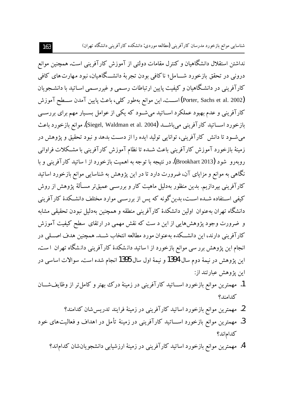نداشتن استقلال دانشگاهیان و کنترل مقامات دولتی از آموزش کارآفرینی است. همچنین موانع درونی در تحقق بازخورد شــــامل؛ ناکافی بودن تجربهٔ دانشـــگاهیان، نبود مهارت۱های کافی کارآفرینی در دانشگاهیان و کیفیت پایین ارتباطات رسمی و غیررسـمی اسـاتید با دانشـجو یان (Porter, Sachs et al. 2002) اســـت. این موانع بهطور کلبی، باعث پایین آمدن ســـطح آموزش کارآفرینی و عدم بهبود عملکرد اســاتید میشــود که یکی از عوامل بســیار مهم برای بررســی بازخورد اســـاتيد كارآفريني مي باشـــد (Siegel, Waldman et al. 2004). موانع بازخورد باعث مي شـود تا دانش كارآفريني، توانايي توليد ايده را از دسـت بدهد و نبود تحقيق و يژوهش در زمینهٔ بازخورد آموزش کارآفرینبی باعث شــده تا نظام آموزش کارآفرینبی با مشــکلات فراوانبی روبهرو شود (Brookhart 2013). در نتيجه با توجه به اهميت بازخورد از ا ساتيد كارآفريني و با نگاهی به موانع و مزایای آن، ضرورت دارد تا در این پژوهش به شناسایی موانع بازخورد اساتید کارآفرینی بیردازیم. بدین منظور بهدلیل ماهیت کار و بررسـی عمیقتر مسـألهٔ پژوهش از روش کیفی اســتفاده شــده اســت، بدین گونه که پس از بررســی موارد مختلف دانشــکدهٔ کارآفرینی دانشگاه تهران بهعنوان اولین دانشکدهٔ کارآفرینی منطقه و همچنین بهدلیل نبودن تحقیقی مشابه و ضرورت وجود پژوهشهایی از این د ست که نقش مهمی در ارتقای سطح کیفیت آموزش کارآفرینی دارند، این دانشــکده بهعنوان مورد مطالعه انتخاب شــد. همچنین هدف اصـــلی در انجام این پژوهش برر سی موانع بازخورد از ا ساتید دانشکدهٔ کارآفرینی دانشگاه تهران ۱ست. اين پژوهش در نيمهٔ دوم سال 1394 و نيمهٔ اول سال 1395 انجام شده است. سوالات اساسي در این پژوهش عبارتند از:

- 1. مهمترین موانع بازخورد اســـاتید کارآفرینی در زمینهٔ درک بهتر و کامل تر از وظایفشـــان كدامند؟
	- 2. مهمترین موانع بازخورد اساتید کارآفرینی در زمینهٔ فرایند تدریس شان کدامند؟
- 3. مهمترین موانع بازخورد اســـاتید کارآفرینی در زمینهٔ تأمل در اهداف و فعالیتهای خود كدام اند؟
	- 4. مهمترین موانع بازخورد اساتید کارآفرینی در زمینهٔ ارزشیابی دانشجویانشان کداماند؟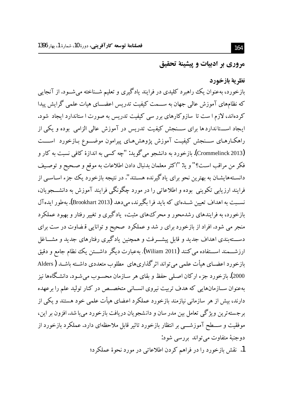مروري بر ادبيات و پيشينة تحقيق

# نظرية بازخورد بازخورد، بهعنوان یک راهبرد کلیدی در فرایند یادگیری و تعلیم شــناخته میشــود. از آنجایی که نظامهای آموزش عالی جهان به ســـمت کیفیت تدریس اعضـــای هیات علمی گرایش پیدا کردهاند، لازم ا ست تا سازوکارهای برر سی کیفیت تدریس به صورت ا ستاندارد ایجاد شود. ایجاد اســــتانداردها برای ســـنجش کیفیت تدریس در آموزش عالی الزامی بوده و یکی از راهکارهـای ســنجش کیفیـت آموزش پژوهشهـای پیرامون موضـــوع بـازخورد اســــت (Crommelinck 2013). بازخورد به دانشجو مي گويد: "چه كسي به اندازهٔ كافي نسبت به كار و فكر من مراقب است؟" و يا: "اكثر معلمان بدنبال دادن اطلاعات به موقع و صـحيح و توصـيف دانسـتههایشـان به بهترین نحو برای یادگیرنده هسـتند". در نتیجه بازخورد یک جزء اسـاسـی از فرایند ارزیابی تکوینی بوده و اطلاعاتی را در مورد چگونگی فرایند آموزش به دانشــــجویان، نســبت به اهداف تعیین شــدهای که باید فرا بگیرند، می٫دهد (Brookhart 2013). بهطور ایدهآل بازخورد، به فرایندهای رشدمحور و محرک های مثبت، یادگیری و تغییر رفتار و بهبود عملکرد منجر می شود. افراد از بازخورد برای ر شد و عملکرد صحیح و توانایی قیضاوت در ست برای دســــتهبندی اهداف جدید و قابل پیشــــرفت و همچنین یادگیری رفتارهای جدید و مشــــاغل ارزشـــمند اســـتفاده مي كنند (Wiliam 2011). بهعبارت ديگر داشـــتن يك نظام جامع و دقيق بازخورد اعضــاي هيأت علمي مي تواند اثر گذاريهاي مطلوب متعددي داشــته باشــد ( Alders 2000). بازخو رد جزء ارکان اصـلي حفظ و بقاي هر سـازمان محسـو ب مي شـو د. دانشـگاهها نيز بهعنوان ســازمانهایی که هدف تربیت نیروی انســانی متخصــص در کنار تولید علم را برعهده دارند، بیش از هر سازمانی نیازمند بازخورد عملکرد اعضای هیأت علمی خود هستند و یکی از بر جسته ترین ویژگی تعامل بین مدر سان و دانشجویان دریافت بازخورد می با شد. افزون بر این، موفقیت و ســـطح آموزشــــی بر انتظار بازخورد تاثیر قابل ملاحظهای دارد. عملکرد بازخورد از دوجنبهٔ متفاوت می تواند بررسی شود:

1. نقش بازخورد را در فراهم کردن اطلاعاتی در مورد نحوهٔ عملکرد؛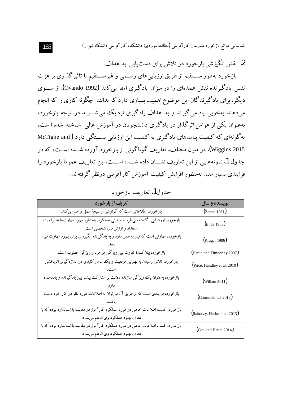شناسایی موانع بازخورد مدرسان کارآفرینی (مطالعه موردی: دانشکده کارآفرینی دانشگاه تهران)

2. نقش انگیزشی بازخورد در تلاش برای دست پاپی به اهداف.

بازخورد بهطور مسـتقیم از طریق ارزیابیهای رسـمی و غیرمسـتقیم با تاثیرگذاری بر عزت نفس یادگیر نده نقش عمدهای را در میزان یادگیری ایفا می کند (Ovando 1992). از ســـوی دیگر، برای یادگیرندگان این موضوع اهمیت بسیاری دارد که بدانند چگونه کاری را که انجام می،دهند بهخوبی یاد می گیرند و به اهداف یادگیری نزدیک می شــوند در نتیجه بازخورد، بهعنوان یکی از عوامل اثرگذار در یادگیری دانشجویان در آموزش عالمی شناخته شده ا ست، به گو نهای که کیفیت پیامدهای یادگیری به کیفیت این ارزیابی بســـتگی دارد (McTighe and .<br>Wiggins 2015). در متون مختلف، تعاریف گوناگونی از بازخورد آورده شـــده اســـت، که در جدول 1، نمو نه هایی از این تعاریف نشـــان داده شـــده اســـت. این تعاریف عمو ما بازخورد را فرایندی بسیار مفید بهمنظور افزایش کیفیت آموزش کارآفرینی درنظر گرفتهاند.

جدول1. تعاريف بازخورد

| تعریف از بازخورد                                                                     | نویسنده و سال                |  |
|--------------------------------------------------------------------------------------|------------------------------|--|
| بازخورد، اطلاعاتی است که گزارشی از نتیجهٔ عمل فراهم می کند.                          | (Zamel 1981)                 |  |
| بازخورد، ارزشیابی آگاهانه، بی طرفانه و عینی عملکرد، بهمنظور بهبود مهارتها نه برآورد، | (Ende 1983)                  |  |
| استعداد و ارزشهای شخصی است.                                                          |                              |  |
| بازخورد، مهارتی است که نیاز به عمل دارد و به یادگیرنده انگیزهای برای بهبود مهارت می- | (Kluger 1996)                |  |
|                                                                                      |                              |  |
| بازخورد، بیانکنندهٔ تفاوت بین ویژگی موجود و ویژگی مطلوب است.                         | (Hattie and Timperley 2007)  |  |
| بازخورد، تلاش رسیدن به بهترین موفقیت و یک عامل کلیدی در اندازهگیری اثربخشی           | (Price, Handley et al. 2010) |  |
|                                                                                      |                              |  |
| بازخورد، بهعنوان یک ویژگی سازنده دلالت بر مشارکت بیشتر بین یادگیرنده و یاددهنده      | $(w$ iliam 2011)             |  |
|                                                                                      |                              |  |
| بازخورد، فرایندی است که از طریق آن میتوان به اطلاعات مورد نظر در کار خود دست         | $($ Crommelinck 2013 $)$     |  |
|                                                                                      |                              |  |
| بازخورد، کسب اطلاعات خاص در مورد عملکرد کارآموز در مقایسه با استاندارد بوده که با    | (Rakoczy, Harks et al. 2013) |  |
| هدف بهبود عملکرد وي انجام مي شود.                                                    |                              |  |
| بازخورد، کسب اطلاعات خاص در مورد عملکرد کارآموز در مقایسه با استاندارد بوده که با    | (Gan and Hattie 2014)        |  |
| هدف بهبود عملكرد وي انجام ميشود.                                                     |                              |  |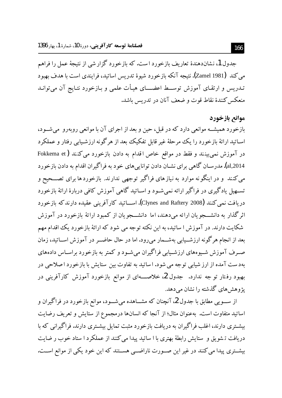جدول 1، نشاندهندهٔ تعاریف بازخورد است. که بازخورد گزار شی از نتیجهٔ عمل را فراهم می کند (Zamel 1981). نتیجه آنکه بازخورد شیوهٔ تدریس اساتید، فرایندی است با هدف بهبود تـدريس و ارتقـاي آموزش توســـط اعضــــاي هيـأت علمي و بـازخورد نتـايج آن مي توانــد منعکس کنندهٔ نقاط قوت و ضعف آنان در تدریس باشد.

## موانع بازخورد

بازخورد همیشــه موانعی دارد که در قبل، حین و بعد از اجرای آن با موانعی روبهرو ًمیشــود، اســاتيد ارائهٔ بازخورد را يک مرحلهٔ غير قابل تفکيک بعد از هرگونه ارزشـيابي رفتار و عملکرد در آموزش نمی بینند و فقط در مواقع خاص اقدام به دادن بازخورد می کنند ( Fokkema et al,2014). مدرسـان گاهی برای نشـان دادن تواناییهای خود به فراگیران اقدام به دادن بازخورد می کنند ًو در اینگونه موارد به نیازهای فراگیر توجهی ندارند. بازخوردها برای تصـــحیح و تســهيل يادگيري در فراگير ارائه نمي شــود و اســاتيد گاهي آموزش کافي دربارهٔ ارائهٔ بازخورد دريافت نسي كنند (Clynes and Raftery 2008). اســـاتيد كارآفريني عقيده دارندكه بازخورد اثر گذار به دانشـــجو یان ارائه می دهند، اما ۖ دانشـــجو یان از کمبود ارائهٔ بازخورد در آموزش شکایت دارند. در آموزش ا ساتید، به این نکته توجه می شود که ارائهٔ بازخورد یک اقدام مهم بعد از انجام هرگونه ارزشــیابی بهشــمار می٫رود. اما در حال حاضــر در آموزش اســاتید، زمان صـرف آموزش شـیوههای ارزشـیابی فراگیران میشـود و کمتر به بازخورد براسـاس دادههای بهدست آمده از ارز شیابی توجه می شود. اساتید به تفاوت بین ستایش با بازخورد اصلاحی در یژوهش های گذشته را نشان میدهد.

از ســـویی مطابق با جدول 2، آنچنان که مشـــاهده میشـــود، موانع بازخورد در فراگیران و اساتید متفاوت است. بهعنوان مثال؛ از آنجا که انسانها درمجموع از ستایش و تعریف رضایت بیشـتری دارند، اغلب فراگیران به دریافت بازخورد مثبت تمایل بیشـتری دارند. فراگیرانی که با دریافت تشویق و ستایش رابطهٔ بهتری با ا ساتید پیدا می کنند از عملکرد ا ستاد خوب ر ضایت بیشــتری پیدا می کنند در غیر این صــورت ناراضــی هســتند که این خود یکی از موانع اســت.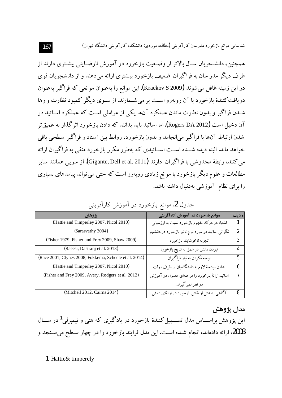همچنین، دانشـجویان سـال بالاتر از وضـعیت بازخورد در آموزش نارضـایتی بیشـتری دارند از طرف دیگر مدر سان به فراگیران ضعیف بازخورد بیشتری ارائه میدهند و از دانشجویان قوی در اين زمينه غافل مي شوند (Krackov S 2009). اين موانع را به عنوان موانعي كه فراگير به عنوان دریافت کنندهٔ بازخورد با آن روبهرو اسـت بر می شــمارند. از ســوی دیگر کمبود نظارت و رها شـدن فراگير و بدون نظارت ماندن عملكرد آنها يكي از عواملي اسـت كه عملكرد اسـاتيد در آن دخیل است (Rogers DA 2012). اما اساتید باید بدانند که دادن بازخورد اثر گذار به عمیق تر شدن ارتباط آنها با فراگير مي انجامد و بدون بازخورد، روابط بين استاد و فراگير سطحي باقي خواهد ماند. البته دیده شــده اســت اســاتیدی که بهطور مکرر بازخورد منفی به فراگیران ارائه می کنند، رابطهٔ مخدوشی با فراگیران دارند (Gigante, Dell et al. 2011). از سویی همانند سایر مطالعات و علوم دیگر بازخورد با موانع زیادی روبهرو است که حتبی می تواند پیامدهای بسیاری را برای نظام آموزشی بهدنبال داشته باشد.

| يژوهش                                                  | موانع بازخورد در آموزش کارآفرینی                  | رديف |
|--------------------------------------------------------|---------------------------------------------------|------|
| (Hattie and Timperley 2007, Nicol 2010)                | اشتباه در درک مفهوم بازخورد نسبت به ارزشیابی      |      |
| (Sarasvathy 2004)                                      | نگرانی اساتید در مورد نوع تاثیر بازخورد در دانشجو |      |
| (Fisher 1979, Fisher and Frey 2009, Shaw 2009)         | تجربه ناخوشايند بازخورد                           |      |
| (Raeesi, Dastranj et al. 2013)                         | نبودن دانش در عمل به نتايج بازخورد                | 4    |
| (Race 2001, Clynes 2008, Fokkema, Scheele et al. 2014) | توجه نکردن به نیاز فراگیران                       | 5    |
| (Hattie and Timperley 2007, Nicol 2010)                | ندادن بودجهٔ لازم به دانشگاهیان از طرف دولت       | 6    |
| (Fisher and Frey 2009, Avery, Rodgers et al. 2012)     | اساتید ارائهٔ بازخورد را مرحلهای معمول در آموزش   |      |
|                                                        | در نظر نمي گيرند.                                 |      |
| (Mitchell 2012, Cairns 2014)                           | آگاهی نداشتن از نقش بازخورد در ارتقای دانش        | 8    |

جدول 2. موانع بازخورد در آموزش کارآفرینی

## **ÅÁaµ|»**

این پژوهش براســـاس مدل تســــهیل کنندهٔ بازخورد در یادگیری که هتی و تیمپرلی<sup>1</sup> در ســـال 2008، ارائه دادهاند، انجام شـده اسـت. اين مدل فرايند بازخورد را در چهار سـطح ميسـنجد و

 $\overline{a}$ 

1. Hattie& timperely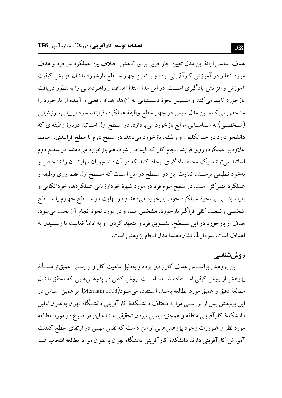هدف اساسی ارائهٔ این مدل تعیین چارچوبی برای کاهش اختلاف بین عملکر د موجود و هدف مورد انتظار در آموزش کارآفرینی بوده و با تعیین چهار ســطح بازخورد بدنبال افزایش کیفیت آموزش و افزایش یادگیری اســت. در این مدل ابتدا اهداف و راهبردهایی را بهمنظور دریافت بازخورد تاييد مي كند و ســيس نحوهٔ دســتيابي به آنها، اهداف فعلي و آينده از بازخورد را مشخص مي كند. اين مدل سيس در چهار سطح وظيفهٔ عملكرد، فرايند، خود ارزيابي، ارزشيابي (شـخصـي) به شـناسـايي موانع بازخورد مي پردازد. در سـطح اول اســاتيد دربارهٔ وظيفهاي كه دانشجو دارد در حد تکلیف و وظیفه، بازخورد میدهد. در سطح دوم یا سطح فرایندی، اساتید علاوه بر عملکرد، روی فرایند انجام کار که باید طی شود، هم بازخورد میدهند. در سطح دوم اساتید می توانند یک محیط یادگیری ایجاد کنند که در آن دانشجو یان مهارتشان را تشخیص و بهخود تنظیمی برســند. تفاوت این دو ســطح در این اســت که ســطح اول فقط روی وظیفه و عملکرد متمرکز ِ است. در سطح سوم فرد در مورد شیوهٔ خودارزیابی عملکردها، خوداتکایی و بازاندیشـــی بر نحوهٔ عملکرد خود، بازخورد میدهد و در نهایت در ســـطح چهارم یا ســـطح شخصی وضعیت کلمی فراگیر بازخورد، مشخص شده و در مورد نحوهٔ انجام آن بحث می شود. هدف از بازخورد در این ســطح، تشــویق فرد و متعهد کردن او به ادامهٔ فعالیت تا رســیدن به اهداف است. نمودار 1، نشاندهندهٔ مدل انجام پژوهش است.

## روششناسی

این پژوهش براســاس هدف کاربردی بوده و بهدلیل ماهیت کار و بررســـی عمیقتر مســألهٔ یژوهش از روش کیفی اســتفاده شـــده اســـت. روش کیفی در پژوهش هایی که محقق بدنبال مطالعهٔ دقیق و عمیق مورد مطالعه باشـد، اسـتفاده می شـود(Merriam 1998). بر همین اسـاس در این پژوهش پس از بررســی موارد مختلف دانشــکدهٔ کارآفرینی دانشــگاه تهران بهعنوان اولین دانشکدهٔ کارآفرینی منطقه و همچنین بدلیل نبودن تحقیقی مشابه این مو ضوع در مورد مطالعه مورد نظر و ضرورت وجود پژوهشهایی از این دست که نقش مهمی در ارتقای سطح کیفیت آموزش کارآفرینی دارند دانشکدهٔ کارآفرینی دانشگاه تهران بهعنوان مورد مطالعه انتخاب شد.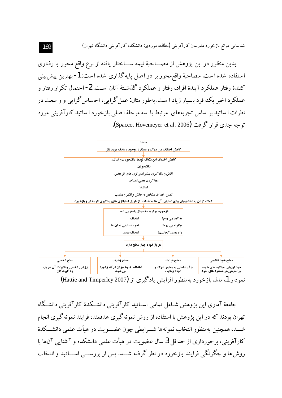بدین منظور در این پژوهش از مصـــاحبهٔ نیمه ســـاختار یافته از نوع واقع محور یا رفتاری استفاده شده است. مصاحبهٔ واقع محور بر دو اصل پایه گذاری شده است: 1- بهترین پیش بینی کنندهٔ رفتار عملکرد آیندهٔ افراد، رفتار و عملکرد گذشـتهٔ آنان اسـت. 2- احتمال تکرار رفتار و عملکر د اخیر یک فرد بسیار زیاد ا ست. بهطور مثال: عمل گرایی، احساس گرایی و و سعت در نظرات ا ساتید برا ساس تجربههای ً مرتبط با ً سه مرحلهٔ ا صلبی بازخورد ا ساتید کارآفرینی مورد توجه جدى قرار گرفت (Spacco, Hovemeyer et al. 2006).



نمودار 1، مدل بازخورد بهمنظور افزایش یادگیری از (Hattie and Timperley 2007)

جامعهٔ آماری این پژوهش شــامل تمامی اســاتید کارآفرینی دانشــکدهٔ کارآفرینی دانشــگاه تهران بودند که در این پژوهش با استفاده از روش نمونهگیری هدفمند، فرایند نمونهگیری انجام شـــد، همچنین بهمنظور انتخاب نمونهها شـــرابطي چون عضـــویت در هیأت علمی دانشـــکدهٔ کارآفرینی، برخورداری از حداقل 3 سال عضویت در هیأت علمی دانشکده و آ شنایی آن۱ما با روش ها و چگونگی فرایند بازخورد در نظر گرفته شـــد. پس از بررســـی اســـاتید و انتخاب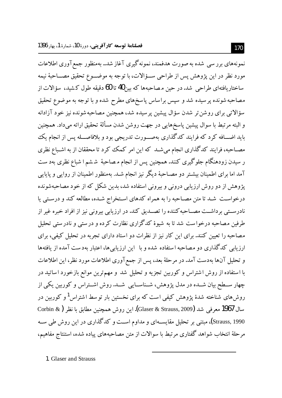نمونههای برر سی شده به صورت هدفمند، نمونهگیری آغاز شد.. بهمنظور جمع آوری اطلاعات مورد نظر در اين پژوهش پس از طراحي ســؤالات، با توجه به موضـــوع تحقيق مصـــاحبهٔ نيمه ساختاریافتهای طراحی شد. در حین مصاحبهها که بین40 تا 60 دقیقه طول کشید، سؤالات از مصاحبه شونده پر سیده شد و سپس براساس پاسخهای مطرح شده و با توجه به موضوع تحقیق سؤالاتي براي روشن تر شدن سؤال پيشين پر سيده شد، همچنين مصاحبه شونده نيز خود آزادانه و البته مرتبط با سوال پیشین پاسخهایی در جهت روشن شدن مسألهٔ تحقیق ارائه میداد. همچنین باید اضــافه کرد که فرایند کدگذاری بهصــورت تدریجی بود و بلافاصــله پس از انجام یک مصـاحبه، فرایند کدگذاری انجام میشـد که این امر کمک کرد تا محققان از به اشـباع نظری ر سیدن زودهنگام جلوگیری کنند. همچنین پس از انجام مصاحبهٔ ششم ا شباع نظری بهد ست آمد اما برای اطمینان بیشـتر دو مصـاحبهٔ دیگر نیز انجام شـد. بهمنظور اطمینان از روایبی و پایایبی یژوهش از دو روش ارزیابی درونی و بیرونی استفاده شد، بدین شکل که از خود مصاحبهشونده درخواست شـد تا متن مصـاحبه را به همراه كدهاى اسـتخراج شـده، مطالعه كند و درسـتي يا نادرســتي برداشــت مصــاحبه كننده را تصــديق كند. در ارزيابي بيروني نيز از افراد خبره غير از طرفین مصاحبه درخواست شد تا به شیوهٔ کدگزاری نظارت کرده و درستی و نادرستی تحلیل مصاحبه را تعیین کنند. برای این کار نیز از نظرات دو استاد دارای تجربه در تحلیل کیفی، برای ارزیابی کدگذاری دو مصاحبه استفاده شده و با آین ارزیابی ها، اعتبار بهدست آمده از یافتهها و تحلیل آنها بهدست آمد. در مرحلهٔ بعد، پس از جمع آوری اطلاعات مورد نظر، این اطلاعات با استفاده از روش اشتراس و کوربین تجزیه و تحلیل شد و مهمترین موانع بازخورد اساتید در چهار ســطح بیان شــده در مدل یژوهش، شــناســایی شــد. روش اشــتراس و کوربین یکی از روشهای شناخته شدهٔ یژوهش کیفی است که برای نخستین بار توسط اشتراس<sup>1</sup> و کوربین در سال 1967 معرفی شد (Glaser & Strauss, 2009). این روش همچنین مطابق با نظر ( Corbin & Strauss, 1990)، مبتنی بر تحلیل مقایســهای و مداوم اســت و کدگذاری در این روش طی ســه مرحلهٔ انتخاب شواهد گفتاری مرتبط با سوالات از متن مصاحبههای پیاده شده، استنتاج مفاهیم،

1. Glaser and Strauss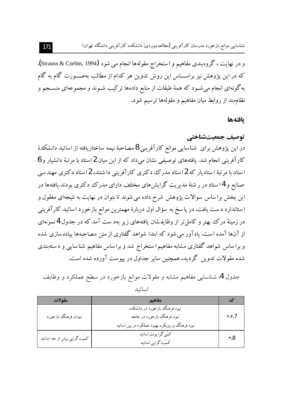و در نهايت ، گروهبندي مفاهيم و استخراج مقولهها انجام مي شود (Strauss & Corbin, 1994). که در این پژوهش نیز براســـاس این روش تدوین هر کدام از مطالب بهصـــورت گام به گام به گونهای انجام می شـود که همهٔ طبقات از منابع دادهها ترکیب شـوند و مجموعهای منســجم و نظاممند از روابط میان مفاهیم و مقولهها ترسیم شود.

#### بافتهها

## توصيف جمعيتشناختي

در این پژوهش برای ً شناسایی موانع کارآفرینی 8 مصاحبهٔ نیمه ساختاریافته از اساتید دانشکدهٔ کارآفرینی انجام شد. یافتههای توصیفی نشان میداد که از این میان 2استاد با مرتبهٔ دانشیار و 6 استاد با مرتبهٔ استادیار که 2استاد مدرک دکتری کارآفرینی داشتند، 2استاد دکتری مهندسی صنایع و 4استاد در ر شتهٔ مدیریت گرایشهای مختلف دارای مدرک دکتری بودند.یافتهها در این بخش براساس سوالات پژوهش شرح داده می شوند تا بتوان در نهایت به نتیجهای معقول و استاندارد دست یافت. در پا سخ به سؤال اول دربارهٔ مهمترین موانع بازخورد اساتید کارآفرینی در زمینهٔ درک بهتر و کامل تر از وظایفشان یافتههای زیر بهد ست آمد که در جدول 4 نمونهای از آنها آمده است. یادآور می شود که ابتدا شواهد گفتاری از متن مصاحبهها پیاده سازی شده و براساس شواهد گفتاری مشابه مفاهیم استخراج شد و براساس مفاهیم شناسایی و دستهبندی شده مقولات تدوین گردید، همچنین سایر جداول در پیوست آورده شده است.

## جدول 4، شناسایی مفاهیم مشابه و مقولات موانع بازخورد در سطح عملکرد و وظایف اساتىد

| مقولات                       | مفاهيم                                         |          |
|------------------------------|------------------------------------------------|----------|
|                              | نبود فرهنگ بازخورد در دانشکده                  |          |
| نبودن فرهنگ بازخورد          | نبود فرهنگ بازخورد در جامعه                    | $r$ $rJ$ |
|                              | نبود فرهنگ و رويكرد بهبود عملكرد در بين اساتيد |          |
| كميّت گرايي بيش از حد اساتيد | كمّى گرا بودن اساتيد                           | 8،۳      |
|                              | كميّت گرايي اساتيد                             |          |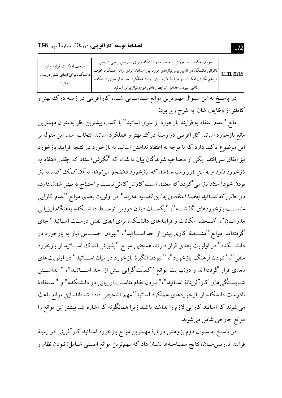| نبودن امکانات و تجهیزات مناسب در دانشکده برای تدریس برخی دروس<br>ضعف امكانات فرايندهاي<br>ناتوانی دانشگاه در تامین پیش نیازهای مورد نیاز استادان برای ارائهٔ عملکرد خوب (<br>11،11،20،16  <br>هراهم نکردن امکانات و شرایط لازم برای بهبود عملکرد اساتید از سوی دانشکده<br>دانشكده براي ايفاي نقش درست<br>اساتىد<br>تامین نبودن حداقل شرایط رفاهی مورد نیاز برای اساتید |  |
|------------------------------------------------------------------------------------------------------------------------------------------------------------------------------------------------------------------------------------------------------------------------------------------------------------------------------------------------------------------------|--|
|------------------------------------------------------------------------------------------------------------------------------------------------------------------------------------------------------------------------------------------------------------------------------------------------------------------------------------------------------------------------|--|

در پاســخ به این ســوال مهم ترین موانع شــناســایی شــده کارآفرینی در زمینه درک بهتر و كاملتر از وظايف شان به شرح زير بود:

مانع "عدم اعتقاد به فرایند بازخورد از سوی اساتید" با کسب بیشترین نظر بهعنوان مهمترین مانع بازخورد اساتید کارآفرینی در زمینهٔ درک بهتر و عملکرد اساتید انتخاب شد. این مقوله بر این موضوع تاکید دارد که با توجه به اعتقاد نداشتن اساتید به بازخورد در نتیجه فرایند بازخورد نیز اتفاق نمی افتد. یکی از مصاحبه شوندگان بیان دا شت که *"نگر ش ا ستاد که چقدر اعتقاد به* بازخورد دارد و به این باور رسیده باشد که بازخورد دانشجو می تواند به آن کمک کند. به باز بودن خود ا ستاد باز می گردد که معتقد ا ست کارش کامل نیست و احتیاج به بهتر شدن دارد، در حال<sub>ی</sub> که *اســاتید بعضــا اعتقادی به این قضــیه ندارند"* در اولویت بعدی موانع "عدم کارایی مناســب بازخوردهاي گذشـــته"، "يكســـان ديدن دروس توســـط دانشــكده بههنگام ارزيابي مدرســان"، "ضــعف امكانات و فرایندهای دانشــكده برای ایفای نقش درســت اســاتید" جای گرفتهاند. موانع "مشـــغلهٔ کاری بیش از حد اســـاتید"، "نبودن احســـاس نیاز به بازخورد در دانشـــکده" در اولویت بعدی قرار دارند. همچنین موانع "پذیرش اندک اســـاتید از بازخورد منفي"، "نبودن فرهنگ بازخورد"، " نبودن انگيزهٔ بازخورد در ميان اســـاتيد" در اولويتهاى بـعدی قرار گرفـتهاند و درنـها یت موانع "کمیّتگرایی بیش از حد اســـاتـید"، " نداشـــتن شــایســتگی&ای کارآفرینانهٔ اســاتید"،" نبودن نظام مناسـب ارزیابی در دانشــکده" و "اســتفادهٔ نادرست دانشکده از بازخوردهای عملکرد اساتید" مهم تشخیص داده شدهاند. این موانع باعث می شوند که اساتید کارایی لازم را نداشته باشند زیرا همانگونه که اشاره شد بیشتر این موانع را موانع خارجي شامل مي شوند.

در پاسـخ به سـوال دوم پژوهش دربارهٔ مهمترین موانع بازخورد اسـاتید کارآفرینی در زمینهٔ فرایند تدریسشان، نتایج مصـاحبهها نشـان داد که مهمترین موانع اصـلی شـامل: نبودن نظام و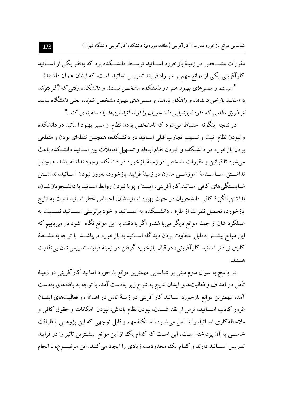شناسایی موانع بازخورد مدرسان کارآفرینی (مطالعه موردی: دانشکده کارآفرینی دانشگاه تهران)

مقررات مشــخص در زمینهٔ بازخورد اســاتید توســط دانشــکده بود که بهنظر یکی از اســاتید کارآفرینی یکی از موانع مهم بر سر راه فرایند تدریس اساتید است. که ایشان عنوان داشتند: " سیستم و مسیرهای بهبود هم در دانشکده مشخص نیستند و دانشکده وقتبی که اگر بتواند به اساتید بازخورد بدهد و راهکار بدهند و مسیر های بهبود مشخص شوند، یعنی دانشگاه بیایید از طریق نظامی که دارد ارزشیابی دانشجو پان را از اساتید این ها را دسته بندی کند ."

در نتیجه اینگونه استنباط می شود که نامشخص بودن نظام و مسیر بهبود اساتید در دانشکده و نبودن نظام ثبت و تسـهيم تجارب قبلي اسـاتيد در دانشـكده، همچنين نقطهاي بودن و مقطعي بودن بازخورد در دانشـكده و نبودن نظام ايجاد و تسـهيل تعاملات بين اسـاتيد دانشـكده باعث می شود تا قوانین و مقررات مشخص در زمینهٔ بازخورد در دانشکده وجود نداشته باشد. همچنین نداشــتن اســاســنامهٔ آموزشـــی مدون در زمینهٔ فرایند بازخورد، بهروز نبودن اســاتید، نداشــتن شـايسـتگي&اي كافي اسـاتيد كارآفريني، ايسـتا و پويا نبودن روابط اسـاتيد با دانشـجويانشـان، نداشتن انگیزهٔ کافی دانشجویان در جهت بهبود اساتیدشان، احساس خطر اساتید نسبت به نتایج بازخورد، تحمیل نظرات از طرف دانشــکده به اســـاتید و خود برتربینی اســـاتید نســـبت به عملکرد شان از جمله موانع دیگر میبا شندو اگر با دقت به این موانع نگاه شود در مییابیم که این موانع بیشــتر بهدلیل ًمتفاوت بودن دیدگاه اســاتید به بازخورد میباشــد. با توجه به مشــغلهٔ کاری زیادتر اساتید کارآفرینی، در قبال بازخورد گرفتن در زمینهٔ فرایند تدریس شان بی تفاوت هستند.

در پاسخ به سوال سوم مبنی بر شناسایی مهمترین موانع بازخورد اساتید کارآفرینی در زمینهٔ تأمل در اهداف و فعالیتهای ایشان نتایج به شرح زیر بهدست آمد. با توجه به یافتههای بهدست آمده مهمترین موانع بازخورد اســاتید کارآفرینی در زمینهٔ تأمل در اهداف و فعالیتهای ایشــان غرور کاذب اســـاتید، ترس از نقد شــــدن، نبودن نظام پاداش، نبودن  امکانات و حقوق کافی و ملاحظه کاری اســاتید را شــامل می۵شــود. اما نکتهٔ مهم و قابل توجهی که این پژوهش با ظرافت خاصـبي به آن پرداخته اسـت، اين اسـت كه كدام يك از اين موانع بيشـترين تاثير را در فرايند تدریس اســـاتید دارند و کدام یک محدودیت زیادی را ایجاد میکنند. این موضـــوع، با انجام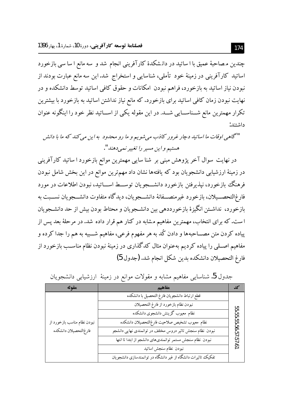چندین مصاحبهٔ عمیق با ا ساتید در دانشکدهٔ کارآفرینی انجام شد و سه مانع ا سا سی بازخورد اساتید کارآفرینی در زمینهٔ خود تأملی، شناسایی و استخراج شد.این سه مانع عبارت بودند از نبودن نیاز اساتید به بازخورد، فراهم نبودن امکانات و حقوق کافی اساتید توسط دانشکده و در نهایت نبودن زمان کافی اساتید برای بازخورد. که مانع نیاز نداشتن اساتید به بازخورد با بیشترین تکرار مهمترین مانع شــناســـایی شـــد. در این مقوله یکی از اســـاتید نظر خود را اینگونه عنوان داشتند:

" گاهي اوقات ما اساتيد دچار غرور كاذب مي شويم و ما رو محدود به اين مي كند كه ما با دانش هستيم و اين مسير را تغيير نمي دهند" .

در نهایت سوال آخر پژوهش مبنی بر شنا سایی مهمترین موانع بازخورد ا ساتید کارآفرینی در زمینهٔ ارزشیابی دانشجویان بود که یافتهها نشان داد مهمترین موانع در این بخش شامل نبودن فرهنگ بازخورد، نیذیرفتن بازخورد دانشـــجویان توســـط اســـاتید، نبودن اطلاعات در مورد فارغ|لتحصـــيلان، بازخورد غيرمنصـــفانهٔ دانشـــجويان، ديدگاه متفاوت دانشـــجويان نســـبت به بازخورد، نداشــتن انگیزهٔ بازخورددهی بین دانشــجویان و محتاط بودن بیش از حد دانشــجویان ا ست. که برای انتخاب، مهمترین مفاهیم مشابه در کنار هم قرار داده شد. در مرحلهٔ بعد پس از پیاده کردن متن مصــاحبهها و دادن کُد به هر مفهوم فرعی، مفاهیم شـــبیه به هم را جدا کرده و مفاهیم اصـلی را پیاده کردیم بهعنوان مثال کدگذاری در زمینهٔ نبودن نظام مناسـب بازخورد از فارغ التحصيلان دانشكده بدين شكل انجام شد. (جدول 5)

| مقوله                       | مفاهيم                                                        | کد          |
|-----------------------------|---------------------------------------------------------------|-------------|
|                             | قطع ارتباط دانشجويان فارغ التحصيل با دانشكده                  |             |
|                             | نبودن نظام بازخورد از فارغ التحصيلان                          |             |
|                             | نظام معيوب گزينش دانشجوي دانشكده                              | 55.55       |
| نبودن نظام مناسب بازخورد از | نظام معيوب تشخيص صلاحيت فارغ لتحصيلان دانشكده                 | ပ္ပြ        |
| فارغ التحصيلان دانشكده      | نبودن نظام سنجش تاثير دروس مختلف در توانمندى نهايى دانشجو     | 56.57.57.61 |
|                             | نبودن نظام سنجش مستمر توانمندىهاى دانشجو از ابتدا تا انتها    |             |
|                             | نبودن نظام سنجش اساتيد                                        |             |
|                             | تفکیک تاثیرات دانشگاه از غیر دانشگاه در توانمندسازی دانشجویان |             |

جدول 5. شناسایی مفاهیم مشابه و مقولات موانع در زمینهٔ ارزشیابی دانشجویان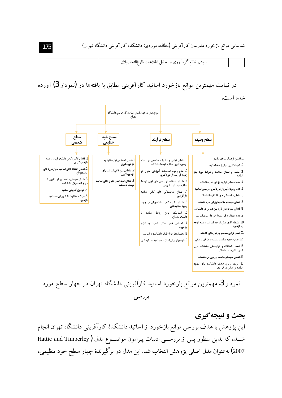نبودن نظام گردآوری و تحلیل اطلاعات فارغ|لتحصیلان

در نهایت مهمترین موانع بازخورد اساتید کارآفرینی مطابق با یافتهها در (نمودار 3) آورده شده است.



نمودار 3. مهمترین موانع بازخورد اساتید کارآفرینی دانشگاه تهران در چهار سطح مورد بر رسی

بحث و نتيجه گيري این پژوهش با هدف برر سی موانع بازخورد از اساتید دانشکدهٔ کارآفرینی دانشگاه تهران انجام شـــد، که بدین منظور پس از بررســـی ادبیات پیرامون موضـــوع مدل ( Hattie and Timperley 2007) به عنوان مدل اصلی پژوهش انتخاب شد. این مدل در برگیرندهٔ چهار سطح خود تنظیمی،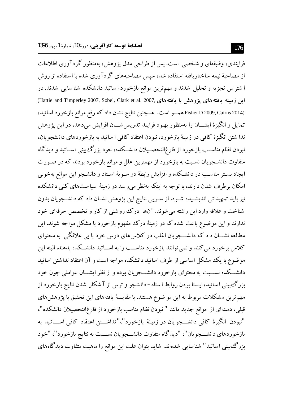فرایندی، وظیفهای و شخصی است. پس از طراحی مدل پژوهش، بهمنظور گر دآوری اطلاعات از مصاحبهٔ نیمه ساختاریافته استفاده شد، سپس مصاحبههای گردآوری شده با استفاده از روش ا شتراس تجزیه و تحلیل شدند و مهم ترین موانع بازخورد ا ساتید دانشکده شنا سایی شدند. در اين زمينه يافتههاي يژوهش با يافتههاي ,2007 (Hattie and Timperley 2007, Sobel, Clark et al. 2007) Fisher D 2009, Cairns 2014)همسو است. همچنین نتایج نشان داد که رفع موانع بازخورد اساتید، تمایل و انگیزهٔ ایشـــان را بهمنظور بهبود فرایند تدریس شـــان افزایش می،دهد. در این یژوهش ندا شتن انگیزهٔ کافی در زمینهٔ بازخورد، نبودن اعتقاد کافی ا ساتید به بازخوردهای دانشجو یان، نبودن نظام مناســب بازخورد از فارغ|لتحصــيلان دانشــكده، خود بزرگءبيني اســاتيد و ديدگاه متفاوت دانشـجویان نسـبت به بازخورد از مهمترین علل و موانع بازخورد بودند که در صـورت ایجاد بسـتر مناسـب در دانشـكده و افزایش رابطهٔ دو سـویهٔ اسـتاد و دانشـجو این موانع بهخوبی امکان برطرف شدن دارند، با توجه به اینکه بهنظر می رسد در زمینهٔ سیاستهای کلی دانشکده نیز باید تمهیداتی اندیشـیده شـود. از سـویی نتایج این پژوهش نشـان داد که دانشـجویان بدون شناخت و علاقه وارد این رشته می شوند. آنها درک روشنی از کار و تخصص حرفهای خود ندارند و این موضوع باعث شده که در زمینهٔ درک مفهوم بازخورد با مشکل مواجه شوند. این مطالعه نشـــان داد که دانشـــجویان اغلب در کلاس های درس خود با بی علاقگی به محتوای کلاس برخورد می کنند و نمی توانند بازخورد مناسـب را به اســاتید دانشــکده بدهند. البته این موضوع با یک مشکل اساسی از طرف اساتید دانشکده مواجه است و آن اعتقاد نداشتن اساتید دانشـــکده نســـبت به محتوای بازخورد دانشـــجویان بوده و از نظر ایشـــان عواملی چون خود بزرگءبینی ا ساتید، ایستا بودن روابط ا ستاد- دانشجو و ترس از آ شکار شدن نتایج بازخورد از مهمترین مشکلات مربوط به این موضوع هستند. با مقایسهٔ یافتههای این تحقیق با پژوهشهای قبلی، دستهای از موانع جدید مانند " نبودن نظام مناسب بازخورد از فارغ|لتحصیلان دانشکده"، "نبودن انگیزهٔ کافی دانشــــجو یان در زمینهٔ بازخورد"،"نداشـــتن اعتقاد کافی اســــاتید به بازخوردهای دانشــــجویان"، "دیدگاه متفاوت دانشــــجویان نســـبت به نتایج بازخورد"، "خود بزرگ بینی اساتید" شناسایی شدهاند. شاید بتوان علت این موانع را ماهیت متفاوت دیدگاههای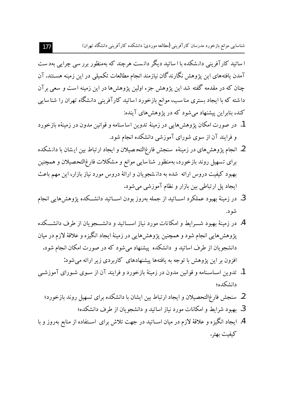شناسایی موانع بازخورد مدرسان کارآفرینی (مطالعه موردی: دانشکده کارآفرینی دانشگاه تهران)

ا ساتبد کار آفرینی دانشکده با ا ساتید دیگر دانست هرچند که بهمنظور بررسی چراپی بهدست آمدن یافتههای این پژوهش نگارندگان نیازمند انجام مطالعات تکمیلی در این زمینه هسـتند. آن چنان که در مقدمه گفته شد این پژوهش جزء اولین پژوهش ها در این زمینه است و سعی بر آن داشته که با ایجاد بستری مناسب، موانع بازخورد اساتید کارآفرینی دانشگاه تهران را شناسایی کند، بنابراین پیشنهاد می شود که در یژوهش های آینده:

- 1. در صورت امکان یژوهشهایی در زمینهٔ تدوین اساسنامه و قوانین مدون در زمینهٔه بازخورد و فرایند آن از سوی شورای آموزشی دانشکده انجام شود.
- 2. انجام پژوهشهای در زمینهٔه سنجش فارغ|لتحصیلان و ایجاد ارتباط بین ایشان با دانشکده برای تسهیل روند بازخورد، بهمنظور شناسایی موانع و مشکلات فارغالتحصیلان و همچنین بهبود کیفیت دروس ارائه شده به دانـشجویان و ارائهٔ دروس مورد نیاز بازار، این مهم باعث ايجاد پل ارتباطي بين بازار و نظام آموزشي مي شود.
- 3. در زمینهٔ بهبود عملکرد اســـاتید از جمله بهروز بودن اســـاتید دانشـــکده پژوهش هایی انجام شو د.
- 4. در زمینهٔ بهبود شـــرایط و امکانات مورد نیاز اســــاتید و دانشــــجو یان از طرف دانشـــکده پژوهش هایی انجام شود و همچنین پژوهش هایی در زمینهٔ ایجاد انگیزه و علاقهٔ لازم در میان دانشجویان از طرف اساتید و دانشکده پیشنهاد می شود که در صورت امکان انجام شود. افزون بر این یژوهش با توجه به یافتهها پیشنهادهای کاربردی زیر ارائه می شود:
- 1. تدوین اســاسـنامه و قوانین مدون در زمینهٔ بازخورد و فرایند آن از ســوی شــورای آموزشــی دانشكده؛
	- 2. سنجش فارغ|لتحصیلان و ایجاد ارتباط بین ایشان با دانشکده برای تسهیل روند بازخورد؛
		- 3. بهبود شرایط و امکانات مورد نیاز اساتید و دانشجویان از طرف دانشکده؛
- 4. ايجاد انگيزه و علاقهٔ لازم در ميان اســاتيد در جهت تلاش براي اســتفاده از منابع بهروز و با كبفيت بهتر .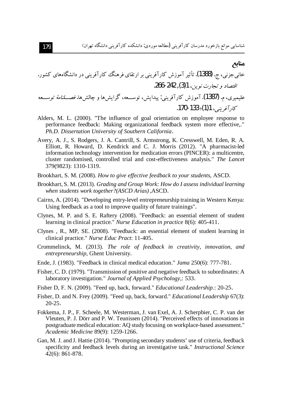## **منایع**

 .¯ÉZÅÃZ´¿Y{{ÊÀ˧MZ¯²ÀŧÉZ¬eY]ÊÀ˧MZ¯Â»MÌiPe .(1388) .k ,ʿmʿZy .266-242 ,(3)1 ,¾Ë¿cZneÁ{Zf«Y Ä ///Âe È»ZÀ¸///§ .ZÅ·ZqÁZÅËY³,Ä ///Âe,ËY|Ìa :ÊÀ˧MZ¯Â»M .(1387) .¹,É̸̼ .170-133 -(1)1 ,ÊÀ˧MZ¯

- Alders, M. L. (2000). "The influence of goal orientation on employee response to performance feedback: Making organizational feedback system more effective,." *Ph.D. Dissertation University of Southern California*.
- Avery, A. J., S. Rodgers, J. A. Cantrill, S. Armstrong, K. Cresswell, M. Eden, R. A. Elliott, R. Howard, D. Kendrick and C. J. Morris (2012). "A pharmacist-led information technology intervention for medication errors (PINCER): a multicentre, cluster randomised, controlled trial and cost-effectiveness analysis." *The Lancet*  379(9823): 1310-1319.
- Brookhart, S. M. (2008). *How to give effective feedback to your students*, ASCD.
- Brookhart, S. M. (2013). *Grading and Group Work: How do I assess individual learning when students work together?(ASCD Arias)* ,ASCD.
- Cairns, A. (2014). "Developing entry-level entrepreneurship training in Western Kenya: Using feedback as a tool to improve quality of future trainings".
- Clynes, M. P. and S. E. Raftery (2008). "Feedback: an essential element of student learning in clinical practice." *Nurse Education in practice* 8(6): 405-411.
- Clynes , R., MP, SE. (2008). "Feedback: an essential element of student learning in clinical practice." *Nurse Educ Pract*: 11-405.
- Crommelinck, M. (2013). *The role of feedback in creativity, innovation, and entrepreneurship*, Ghent University.
- Ende, J. (1983). "Feedback in clinical medical education." *Jama* 250(6): 777-781.
- Fisher, C. D. (1979). "Transmission of positive and negative feedback to subordinates: A laboratory investigation." *Journal of Applied Psychology*,: 533.
- Fisher D, F. N. (2009). "Feed up, back, forward." *Educational Leadership.*: 20-25.
- Fisher, D. and N. Frey (2009). "Feed up, back, forward." *Educational Leadership* 67(3): 20-25.
- Fokkema, J. P., F. Scheele, M. Westerman, J. van Exel, A. J. Scherpbier, C. P. van der Vleuten, P. J. Dörr and P. W. Teunissen (2014). "Perceived effects of innovations in postgraduate medical education: AQ study focusing on workplace-based assessment." *Academic Medicine* 89(9): 1259-1266.
- Gan, M. J. and J. Hattie (2014). "Prompting secondary students' use of criteria, feedback specificity and feedback levels during an investigative task." *Instructional Science* 42(6): 861-878.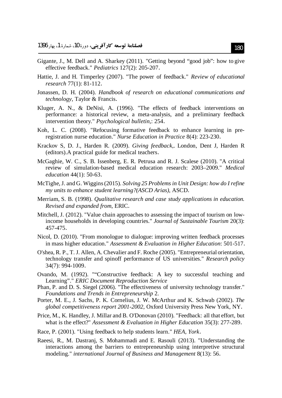- Gigante, J., M. Dell and A. Sharkey (2011). "Getting beyond "good job": how to give effective feedback." Pediatrics 127(2): 205-207.
- Hattie, J. and H. Timperley (2007). "The power of feedback." Review of educational research 77(1): 81-112.
- Jonassen, D. H. (2004). Handbook of research on educational communications and technology, Taylor & Francis.
- Kluger, A. N., & DeNisi, A. (1996). "The effects of feedback interventions on performance: a historical review, a meta-analysis, and a preliminary feedback intervention theory." *Psychological bulletin*,: 254.
- Koh, L. C. (2008). "Refocusing formative feedback to enhance learning in preregistration nurse education." Nurse Education in Practice 8(4): 223-230.
- Krackov S, D. J., Harden R. (2009). Giving feedback,. London, Dent J, Harden R (editors). A practical guide for medical teachers.
- McGaghie, W. C., S. B. Issenberg, E. R. Petrusa and R. J. Scalese (2010). "A critical review of simulation-based medical education research: 2003–2009." Medical education 44(1): 50-63.
- McTighe, J. and G. Wiggins (2015). Solving 25 Problems in Unit Design: how do I refine my units to enhance student learning?(ASCD Arias), ASCD.
- Merriam, S. B. (1998). Qualitative research and case study applications in education. Revised and expanded from, ERIC.
- Mitchell, J. (2012). "Value chain approaches to assessing the impact of tourism on lowincome households in developing countries." *Journal of Sustainable Tourism* 20(3): 457-475.
- Nicol, D. (2010). "From monologue to dialogue: improving written feedback processes in mass higher education." Assessment & Evaluation in Higher Education: 501-517.
- O'shea, R. P., T. J. Allen, A. Chevalier and F. Roche (2005). "Entrepreneurial orientation, technology transfer and spinoff performance of US universities." Research policy 34(7): 994-1009.
- Ovando, M. (1992). ""Constructive feedback: A key to successful teaching and Learning"." ERIC Document Reproduction Service
- Phan, P. and D. S. Siegel (2006). "The effectiveness of university technology transfer." Foundations and Trends in Entrepreneurship 2.
- Porter, M. E., J. Sachs, P. K. Cornelius, J. W. McArthur and K. Schwab (2002). The global competitiveness report 2001-2002, Oxford University Press New York, NY.
- Price, M., K. Handley, J. Millar and B. O'Donovan (2010). "Feedback: all that effort, but what is the effect?" Assessment & Evaluation in Higher Education 35(3): 277-289.
- Race, P. (2001). "Using feedback to help students learn." HEA, York.
- Raeesi, R., M. Dastranj, S. Mohammadi and E. Rasouli (2013). "Understanding the interactions among the barriers to entrepreneurship using interpretive structural modeling." international Journal of Business and Management 8(13): 56.